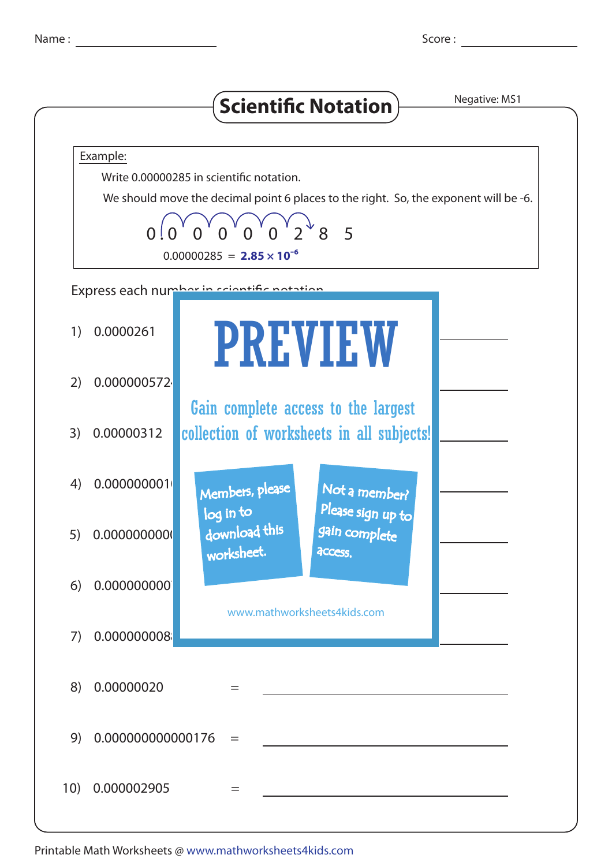